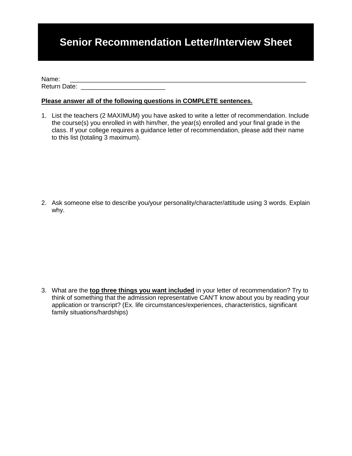## **Senior Recommendation Letter/Interview Sheet**

Name: \_\_\_\_\_\_\_\_\_\_\_\_\_\_\_\_\_\_\_\_\_\_\_\_\_\_\_\_\_\_\_\_\_\_\_\_\_\_\_\_\_\_\_\_\_\_\_\_\_\_\_\_\_\_\_\_\_\_\_\_\_\_\_\_\_\_\_ Return Date: \_\_\_\_\_\_\_\_\_\_\_\_\_\_\_\_\_\_\_\_\_\_\_\_

## **Please answer all of the following questions in COMPLETE sentences.**

1. List the teachers (2 MAXIMUM) you have asked to write a letter of recommendation. Include the course(s) you enrolled in with him/her, the year(s) enrolled and your final grade in the class. If your college requires a guidance letter of recommendation, please add their name to this list (totaling 3 maximum).

2. Ask someone else to describe you/your personality/character/attitude using 3 words. Explain why.

3. What are the **top three things you want included** in your letter of recommendation? Try to think of something that the admission representative CAN'T know about you by reading your application or transcript? (Ex. life circumstances/experiences, characteristics, significant family situations/hardships)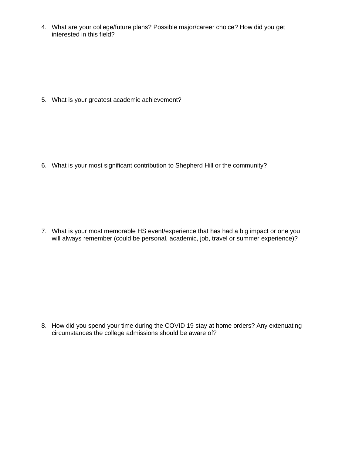4. What are your college/future plans? Possible major/career choice? How did you get interested in this field?

5. What is your greatest academic achievement?

6. What is your most significant contribution to Shepherd Hill or the community?

7. What is your most memorable HS event/experience that has had a big impact or one you will always remember (could be personal, academic, job, travel or summer experience)?

8. How did you spend your time during the COVID 19 stay at home orders? Any extenuating circumstances the college admissions should be aware of?